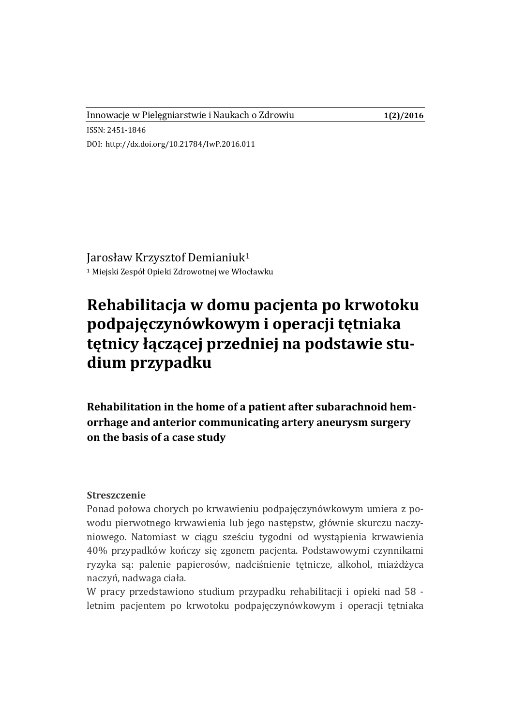Innowacje w Pielęgniarstwie i Naukach o Zdrowiu **1(2)/2016**

DOI: http://dx.doi.org/10.21784/IwP.2016.011

ISSN: 2451-1846

Jarosław Krzysztof Demianiuk<sup>1</sup> <sup>1</sup> Miejski Zespół Opieki Zdrowotnej we Włocławku

# **Rehabilitacja w domu pacjenta po krwotoku podpajęczynówkowym i operacji tętniaka tętnicy łączącej przedniej na podstawie studium przypadku**

**Rehabilitation in the home of a patient after subarachnoid hemorrhage and anterior communicating artery aneurysm surgery on the basis of a case study**

#### **Streszczenie**

Ponad połowa chorych po krwawieniu podpajęczynówkowym umiera z powodu pierwotnego krwawienia lub jego następstw, głównie skurczu naczyniowego. Natomiast w ciągu sześciu tygodni od wystąpienia krwawienia 40% przypadków kończy się zgonem pacjenta. Podstawowymi czynnikami ryzyka są: palenie papierosów, nadciśnienie tętnicze, alkohol, miażdżyca naczyń, nadwaga ciała.

W pracy przedstawiono studium przypadku rehabilitacji i opieki nad 58 letnim pacjentem po krwotoku podpajęczynówkowym i operacji tętniaka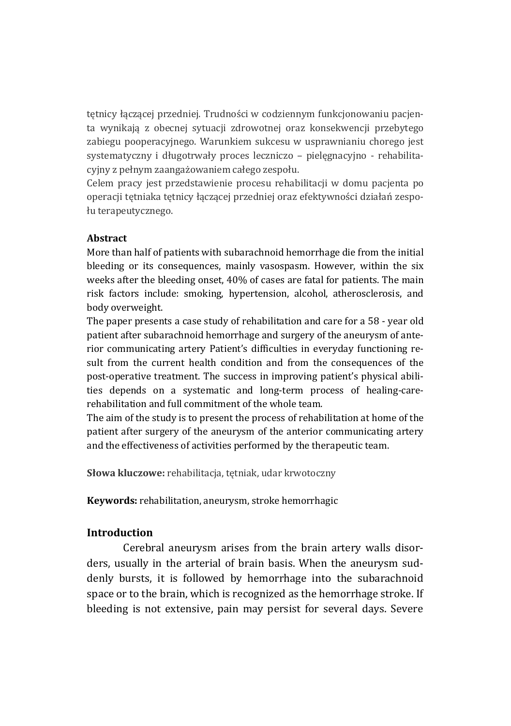tętnicy łączącej przedniej. Trudności w codziennym funkcjonowaniu pacjenta wynikają z obecnej sytuacji zdrowotnej oraz konsekwencji przebytego zabiegu pooperacyjnego. Warunkiem sukcesu w usprawnianiu chorego jest systematyczny i długotrwały proces leczniczo – pielęgnacyjno - rehabilitacyjny z pełnym zaangażowaniem całego zespołu.

Celem pracy jest przedstawienie procesu rehabilitacji w domu pacjenta po operacji tętniaka tętnicy łączącej przedniej oraz efektywności działań zespołu terapeutycznego.

### **Abstract**

More than half of patients with subarachnoid hemorrhage die from the initial bleeding or its consequences, mainly vasospasm. However, within the six weeks after the bleeding onset, 40% of cases are fatal for patients. The main risk factors include: smoking, hypertension, alcohol, atherosclerosis, and body overweight.

The paper presents a case study of rehabilitation and care for a 58 - year old patient after subarachnoid hemorrhage and surgery of the aneurysm of anterior communicating artery Patient's difficulties in everyday functioning result from the current health condition and from the consequences of the post-operative treatment. The success in improving patient's physical abilities depends on a systematic and long-term process of healing-carerehabilitation and full commitment of the whole team.

The aim of the study is to present the process of rehabilitation at home of the patient after surgery of the aneurysm of the anterior communicating artery and the effectiveness of activities performed by the therapeutic team.

**Słowa kluczowe:** rehabilitacja, tętniak, udar krwotoczny

**Keywords:** rehabilitation, aneurysm, stroke hemorrhagic

### **Introduction**

Cerebral aneurysm arises from the brain artery walls disorders, usually in the arterial of brain basis. When the aneurysm suddenly bursts, it is followed by hemorrhage into the subarachnoid space or to the brain, which is recognized as the hemorrhage stroke. If bleeding is not extensive, pain may persist for several days. Severe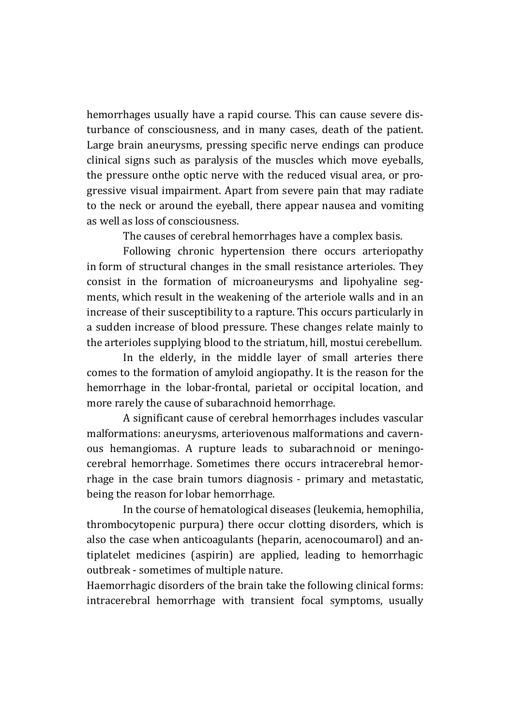hemorrhages usually have a rapid course. This can cause severe disturbance of consciousness, and in many cases, death of the patient. Large brain aneurysms, pressing specific nerve endings can produce clinical signs such as paralysis of the muscles which move eyeballs, the pressure onthe optic nerve with the reduced visual area, or progressive visual impairment. Apart from severe pain that may radiate to the neck or around the eyeball, there appear nausea and vomiting as well as loss of consciousness.

The causes of cerebral hemorrhages have a complex basis.

Following chronic hypertension there occurs arteriopathy in form of structural changes in the small resistance arterioles. They consist in the formation of microaneurysms and lipohyaline segments, which result in the weakening of the arteriole walls and in an increase of their susceptibility to a rapture. This occurs particularly in a sudden increase of blood pressure. These changes relate mainly to the arterioles supplying blood to the striatum, hill, mostui cerebellum.

In the elderly, in the middle layer of small arteries there comes to the formation of amyloid angiopathy. It is the reason for the hemorrhage in the lobar-frontal, parietal or occipital location, and more rarely the cause of subarachnoid hemorrhage.

A significant cause of cerebral hemorrhages includes vascular malformations: aneurysms, arteriovenous malformations and cavernous hemangiomas. A rupture leads to subarachnoid or meningocerebral hemorrhage. Sometimes there occurs intracerebral hemorrhage in the case brain tumors diagnosis - primary and metastatic, being the reason for lobar hemorrhage.

In the course of hematological diseases (leukemia, hemophilia, thrombocytopenic purpura) there occur clotting disorders, which is also the case when anticoagulants (heparin, acenocoumarol) and antiplatelet medicines (aspirin) are applied, leading to hemorrhagic outbreak - sometimes of multiple nature.

Haemorrhagic disorders of the brain take the following clinical forms: intracerebral hemorrhage with transient focal symptoms, usually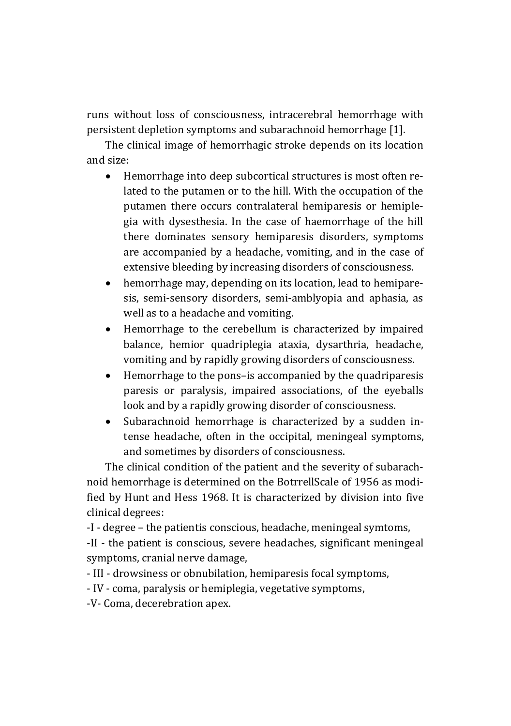runs without loss of consciousness, intracerebral hemorrhage with persistent depletion symptoms and subarachnoid hemorrhage [1].

The clinical image of hemorrhagic stroke depends on its location and size:

- Hemorrhage into deep subcortical structures is most often related to the putamen or to the hill. With the occupation of the putamen there occurs contralateral hemiparesis or hemiplegia with dysesthesia. In the case of haemorrhage of the hill there dominates sensory hemiparesis disorders, symptoms are accompanied by a headache, vomiting, and in the case of extensive bleeding by increasing disorders of consciousness.
- hemorrhage may, depending on its location, lead to hemiparesis, semi-sensory disorders, semi-amblyopia and aphasia, as well as to a headache and vomiting.
- Hemorrhage to the cerebellum is characterized by impaired balance, hemior quadriplegia ataxia, dysarthria, headache, vomiting and by rapidly growing disorders of consciousness.
- Hemorrhage to the pons–is accompanied by the quadriparesis paresis or paralysis, impaired associations, of the eyeballs look and by a rapidly growing disorder of consciousness.
- Subarachnoid hemorrhage is characterized by a sudden intense headache, often in the occipital, meningeal symptoms, and sometimes by disorders of consciousness.

The clinical condition of the patient and the severity of subarachnoid hemorrhage is determined on the BotrrellScale of 1956 as modified by Hunt and Hess 1968. It is characterized by division into five clinical degrees:

-I - degree – the patientis conscious, headache, meningeal symtoms,

-II - the patient is conscious, severe headaches, significant meningeal symptoms, cranial nerve damage,

- III - drowsiness or obnubilation, hemiparesis focal symptoms,

- IV - coma, paralysis or hemiplegia, vegetative symptoms,

-V- Coma, decerebration apex.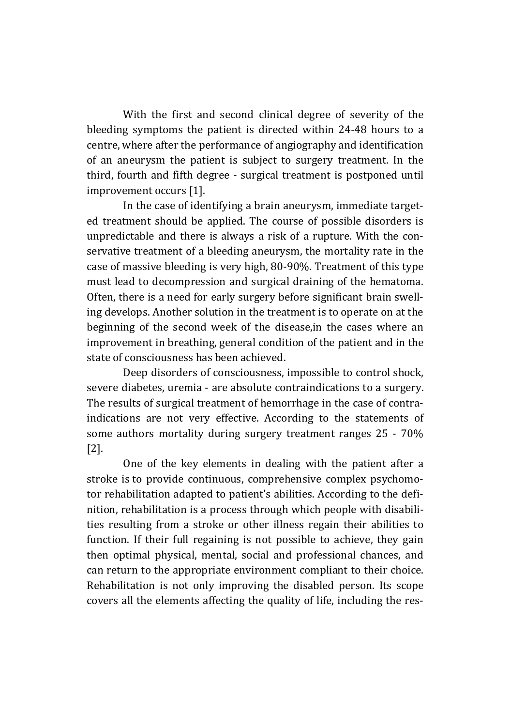With the first and second clinical degree of severity of the bleeding symptoms the patient is directed within 24-48 hours to a centre, where after the performance of angiography and identification of an aneurysm the patient is subject to surgery treatment. In the third, fourth and fifth degree - surgical treatment is postponed until improvement occurs [1].

In the case of identifying a brain aneurysm, immediate targeted treatment should be applied. The course of possible disorders is unpredictable and there is always a risk of a rupture. With the conservative treatment of a bleeding aneurysm, the mortality rate in the case of massive bleeding is very high, 80-90%. Treatment of this type must lead to decompression and surgical draining of the hematoma. Often, there is a need for early surgery before significant brain swelling develops. Another solution in the treatment is to operate on at the beginning of the second week of the disease,in the cases where an improvement in breathing, general condition of the patient and in the state of consciousness has been achieved.

Deep disorders of consciousness, impossible to control shock, severe diabetes, uremia - are absolute contraindications to a surgery. The results of surgical treatment of hemorrhage in the case of contraindications are not very effective. According to the statements of some authors mortality during surgery treatment ranges 25 - 70% [2].

One of the key elements in dealing with the patient after a stroke is to provide continuous, comprehensive complex psychomotor rehabilitation adapted to patient's abilities. According to the definition, rehabilitation is a process through which people with disabilities resulting from a stroke or other illness regain their abilities to function. If their full regaining is not possible to achieve, they gain then optimal physical, mental, social and professional chances, and can return to the appropriate environment compliant to their choice. Rehabilitation is not only improving the disabled person. Its scope covers all the elements affecting the quality of life, including the res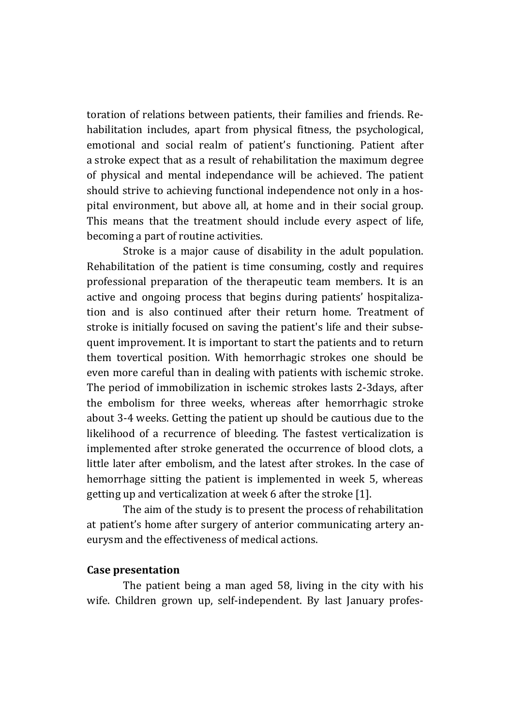toration of relations between patients, their families and friends. Rehabilitation includes, apart from physical fitness, the psychological, emotional and social realm of patient's functioning. Patient after a stroke expect that as a result of rehabilitation the maximum degree of physical and mental independance will be achieved. The patient should strive to achieving functional independence not only in a hospital environment, but above all, at home and in their social group. This means that the treatment should include every aspect of life, becoming a part of routine activities.

Stroke is a major cause of disability in the adult population. Rehabilitation of the patient is time consuming, costly and requires professional preparation of the therapeutic team members. It is an active and ongoing process that begins during patients' hospitalization and is also continued after their return home. Treatment of stroke is initially focused on saving the patient's life and their subsequent improvement. It is important to start the patients and to return them tovertical position. With hemorrhagic strokes one should be even more careful than in dealing with patients with ischemic stroke. The period of immobilization in ischemic strokes lasts 2-3days, after the embolism for three weeks, whereas after hemorrhagic stroke about 3-4 weeks. Getting the patient up should be cautious due to the likelihood of a recurrence of bleeding. The fastest verticalization is implemented after stroke generated the occurrence of blood clots, a little later after embolism, and the latest after strokes. In the case of hemorrhage sitting the patient is implemented in week 5, whereas getting up and verticalization at week 6 after the stroke [1].

The aim of the study is to present the process of rehabilitation at patient's home after surgery of anterior communicating artery aneurysm and the effectiveness of medical actions.

#### **Case presentation**

The patient being a man aged 58, living in the city with his wife. Children grown up, self-independent. By last January profes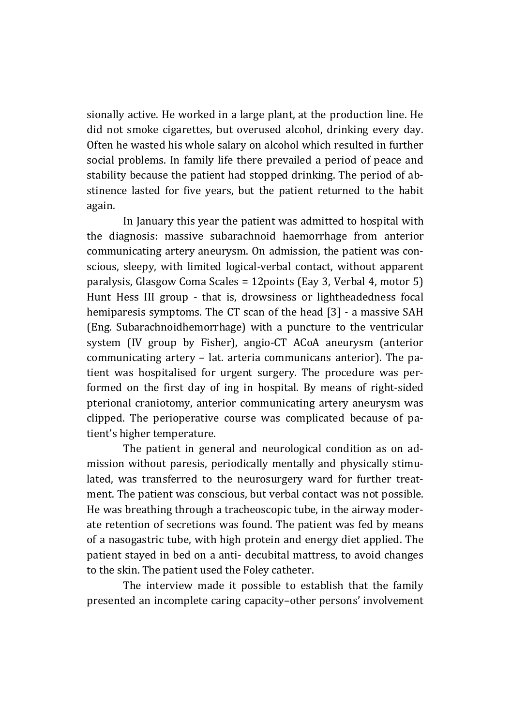sionally active. He worked in a large plant, at the production line. He did not smoke cigarettes, but overused alcohol, drinking every day. Often he wasted his whole salary on alcohol which resulted in further social problems. In family life there prevailed a period of peace and stability because the patient had stopped drinking. The period of abstinence lasted for five years, but the patient returned to the habit again.

In January this year the patient was admitted to hospital with the diagnosis: massive subarachnoid haemorrhage from anterior communicating artery aneurysm. On admission, the patient was conscious, sleepy, with limited logical-verbal contact, without apparent paralysis, Glasgow Coma Scales = 12points (Eay 3, Verbal 4, motor 5) Hunt Hess III group - that is, drowsiness or lightheadedness focal hemiparesis symptoms. The CT scan of the head [3] - a massive SAH (Eng. Subarachnoidhemorrhage) with a puncture to the ventricular system (IV group by Fisher), angio-CT ACoA aneurysm (anterior communicating artery – lat. arteria communicans anterior). The patient was hospitalised for urgent surgery. The procedure was performed on the first day of ing in hospital. By means of right-sided pterional craniotomy, anterior communicating artery aneurysm was clipped. The perioperative course was complicated because of patient's higher temperature.

The patient in general and neurological condition as on admission without paresis, periodically mentally and physically stimulated, was transferred to the neurosurgery ward for further treatment. The patient was conscious, but verbal contact was not possible. He was breathing through a tracheoscopic tube, in the airway moderate retention of secretions was found. The patient was fed by means of a nasogastric tube, with high protein and energy diet applied. The patient stayed in bed on a anti- decubital mattress, to avoid changes to the skin. The patient used the Foley catheter.

The interview made it possible to establish that the family presented an incomplete caring capacity–other persons' involvement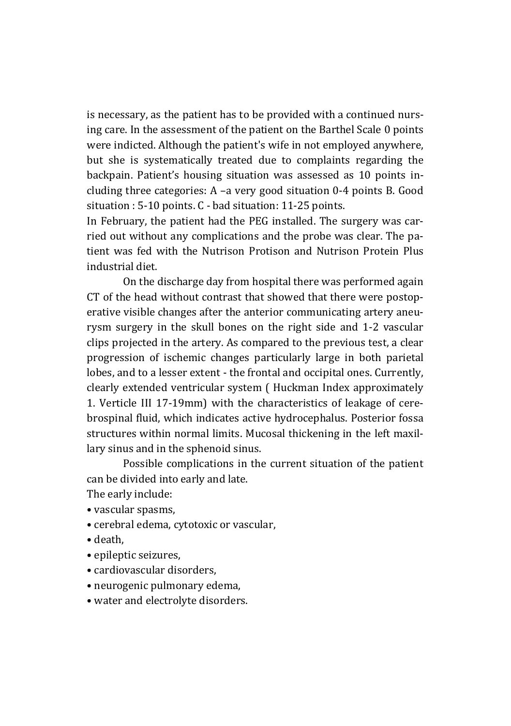is necessary, as the patient has to be provided with a continued nursing care. In the assessment of the patient on the Barthel Scale 0 points were indicted. Although the patient's wife in not employed anywhere, but she is systematically treated due to complaints regarding the backpain. Patient's housing situation was assessed as 10 points including three categories: A –a very good situation 0-4 points B. Good situation : 5-10 points. C - bad situation: 11-25 points.

In February, the patient had the PEG installed. The surgery was carried out without any complications and the probe was clear. The patient was fed with the Nutrison Protison and Nutrison Protein Plus industrial diet.

On the discharge day from hospital there was performed again CT of the head without contrast that showed that there were postoperative visible changes after the anterior communicating artery aneurysm surgery in the skull bones on the right side and 1-2 vascular clips projected in the artery. As compared to the previous test, a clear progression of ischemic changes particularly large in both parietal lobes, and to a lesser extent - the frontal and occipital ones. Currently, clearly extended ventricular system ( Huckman Index approximately 1. Verticle III 17-19mm) with the characteristics of leakage of cerebrospinal fluid, which indicates active hydrocephalus. Posterior fossa structures within normal limits. Mucosal thickening in the left maxillary sinus and in the sphenoid sinus.

Possible complications in the current situation of the patient can be divided into early and late.

The early include:

- vascular spasms,
- cerebral edema, cytotoxic or vascular,
- death,
- epileptic seizures,
- cardiovascular disorders,
- neurogenic pulmonary edema,
- water and electrolyte disorders.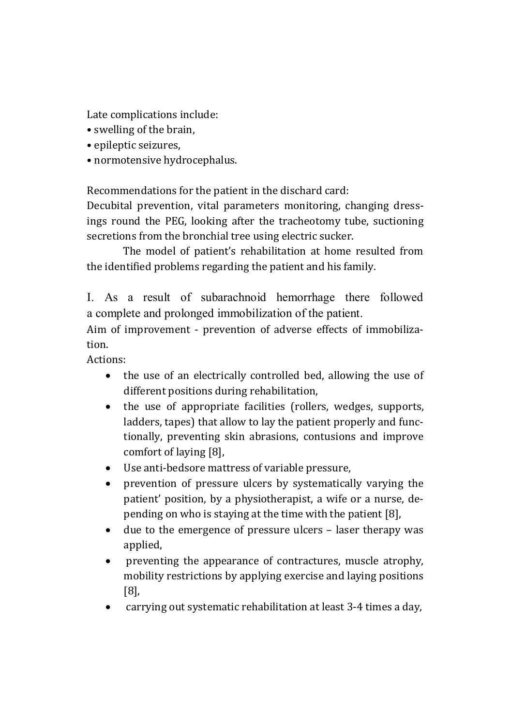Late complications include:

- swelling of the brain,
- epileptic seizures,
- normotensive hydrocephalus.

Recommendations for the patient in the dischard card:

Decubital prevention, vital parameters monitoring, changing dressings round the PEG, looking after the tracheotomy tube, suctioning secretions from the bronchial tree using electric sucker.

The model of patient's rehabilitation at home resulted from the identified problems regarding the patient and his family.

I. As a result of subarachnoid hemorrhage there followed a complete and prolonged immobilization of the patient.

Aim of improvement - prevention of adverse effects of immobilization.

Actions:

- the use of an electrically controlled bed, allowing the use of different positions during rehabilitation,
- the use of appropriate facilities (rollers, wedges, supports, ladders, tapes) that allow to lay the patient properly and functionally, preventing skin abrasions, contusions and improve comfort of laying [8],
- Use anti-bedsore mattress of variable pressure,
- prevention of pressure ulcers by systematically varying the patient' position, by a physiotherapist, a wife or a nurse, depending on who is staying at the time with the patient [8],
- due to the emergence of pressure ulcers laser therapy was applied,
- preventing the appearance of contractures, muscle atrophy, mobility restrictions by applying exercise and laying positions [8],
- carrying out systematic rehabilitation at least 3-4 times a day,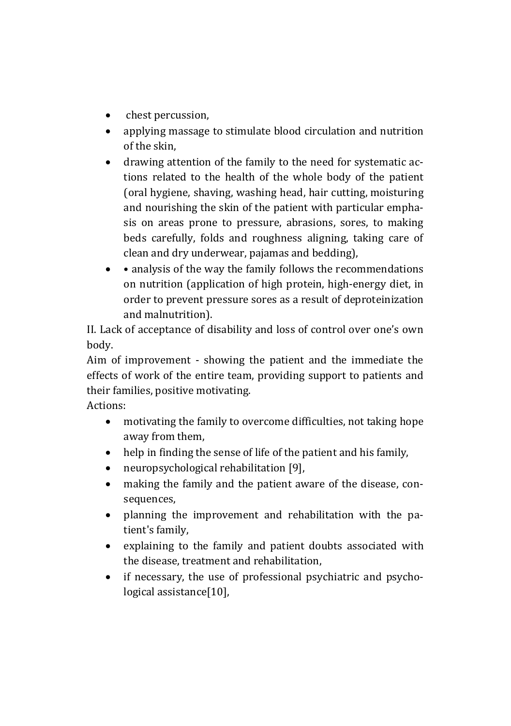- chest percussion,
- applying massage to stimulate blood circulation and nutrition of the skin,
- drawing attention of the family to the need for systematic actions related to the health of the whole body of the patient (oral hygiene, shaving, washing head, hair cutting, moisturing and nourishing the skin of the patient with particular emphasis on areas prone to pressure, abrasions, sores, to making beds carefully, folds and roughness aligning, taking care of clean and dry underwear, pajamas and bedding),
- analysis of the way the family follows the recommendations on nutrition (application of high protein, high-energy diet, in order to prevent pressure sores as a result of deproteinization and malnutrition).

II. Lack of acceptance of disability and loss of control over one's own body.

Aim of improvement - showing the patient and the immediate the effects of work of the entire team, providing support to patients and their families, positive motivating.

Actions:

- motivating the family to overcome difficulties, not taking hope away from them,
- help in finding the sense of life of the patient and his family,
- neuropsychological rehabilitation [9],
- making the family and the patient aware of the disease, consequences,
- planning the improvement and rehabilitation with the patient's family,
- explaining to the family and patient doubts associated with the disease, treatment and rehabilitation,
- if necessary, the use of professional psychiatric and psychological assistance[10],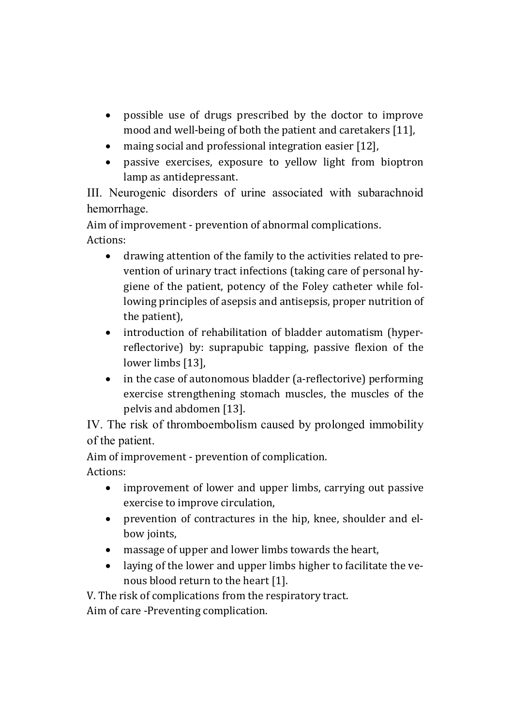- possible use of drugs prescribed by the doctor to improve mood and well-being of both the patient and caretakers [11],
- maing social and professional integration easier [12],
- passive exercises, exposure to yellow light from bioptron lamp as antidepressant.

III. Neurogenic disorders of urine associated with subarachnoid hemorrhage.

Aim of improvement - prevention of abnormal complications. Actions:

- drawing attention of the family to the activities related to prevention of urinary tract infections (taking care of personal hygiene of the patient, potency of the Foley catheter while following principles of asepsis and antisepsis, proper nutrition of the patient),
- introduction of rehabilitation of bladder automatism (hyperreflectorive) by: suprapubic tapping, passive flexion of the lower limbs [13],
- in the case of autonomous bladder (a-reflectorive) performing exercise strengthening stomach muscles, the muscles of the pelvis and abdomen [13].

IV. The risk of thromboembolism caused by prolonged immobility of the patient.

Aim of improvement - prevention of complication. Actions:

- improvement of lower and upper limbs, carrying out passive exercise to improve circulation,
- prevention of contractures in the hip, knee, shoulder and elbow joints,
- massage of upper and lower limbs towards the heart,
- laying of the lower and upper limbs higher to facilitate the venous blood return to the heart [1].

V. The risk of complications from the respiratory tract.

Aim of care -Preventing complication.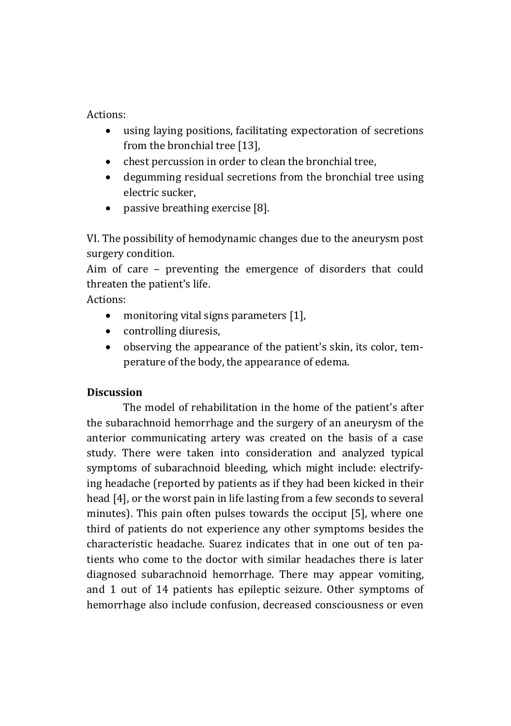Actions:

- using laying positions, facilitating expectoration of secretions from the bronchial tree [13],
- chest percussion in order to clean the bronchial tree,
- degumming residual secretions from the bronchial tree using electric sucker,
- passive breathing exercise [8].

VI. The possibility of hemodynamic changes due to the aneurysm post surgery condition.

Aim of care – preventing the emergence of disorders that could threaten the patient's life.

Actions:

- monitoring vital signs parameters [1],
- controlling diuresis.
- observing the appearance of the patient's skin, its color, temperature of the body, the appearance of edema.

## **Discussion**

The model of rehabilitation in the home of the patient's after the subarachnoid hemorrhage and the surgery of an aneurysm of the anterior communicating artery was created on the basis of a case study. There were taken into consideration and analyzed typical symptoms of subarachnoid bleeding, which might include: electrifying headache (reported by patients as if they had been kicked in their head [4], or the worst pain in life lasting from a few seconds to several minutes). This pain often pulses towards the occiput [5], where one third of patients do not experience any other symptoms besides the characteristic headache. Suarez indicates that in one out of ten patients who come to the doctor with similar headaches there is later diagnosed subarachnoid hemorrhage. There may appear vomiting, and 1 out of 14 patients has epileptic seizure. Other symptoms of hemorrhage also include confusion, decreased consciousness or even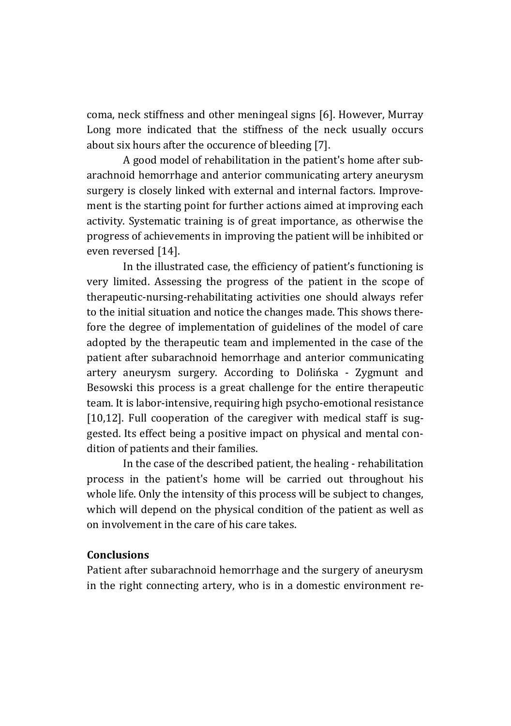coma, neck stiffness and other meningeal signs [6]. However, Murray Long more indicated that the stiffness of the neck usually occurs about six hours after the occurence of bleeding [7].

A good model of rehabilitation in the patient's home after subarachnoid hemorrhage and anterior communicating artery aneurysm surgery is closely linked with external and internal factors. Improvement is the starting point for further actions aimed at improving each activity. Systematic training is of great importance, as otherwise the progress of achievements in improving the patient will be inhibited or even reversed [14].

In the illustrated case, the efficiency of patient's functioning is very limited. Assessing the progress of the patient in the scope of therapeutic-nursing-rehabilitating activities one should always refer to the initial situation and notice the changes made. This shows therefore the degree of implementation of guidelines of the model of care adopted by the therapeutic team and implemented in the case of the patient after subarachnoid hemorrhage and anterior communicating artery aneurysm surgery. According to Dolińska - Zygmunt and Besowski this process is a great challenge for the entire therapeutic team. It is labor-intensive, requiring high psycho-emotional resistance [10,12]. Full cooperation of the caregiver with medical staff is suggested. Its effect being a positive impact on physical and mental condition of patients and their families.

In the case of the described patient, the healing - rehabilitation process in the patient's home will be carried out throughout his whole life. Only the intensity of this process will be subject to changes, which will depend on the physical condition of the patient as well as on involvement in the care of his care takes.

#### **Conclusions**

Patient after subarachnoid hemorrhage and the surgery of aneurysm in the right connecting artery, who is in a domestic environment re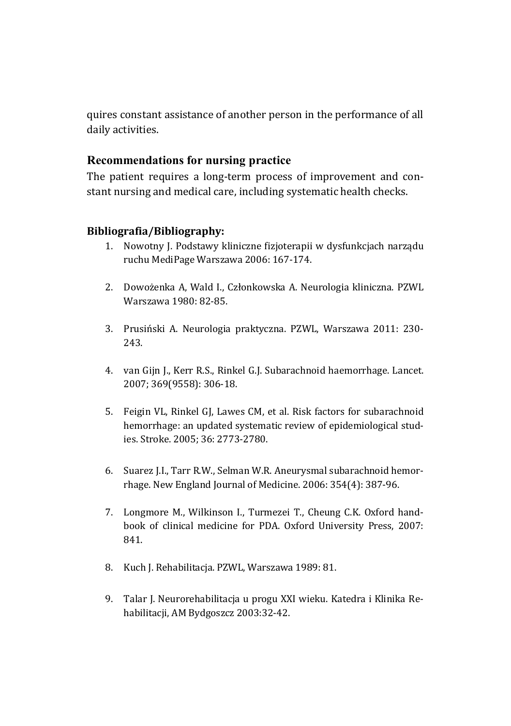quires constant assistance of another person in the performance of all daily activities.

## **Recommendations for nursing practice**

The patient requires a long-term process of improvement and constant nursing and medical care, including systematic health checks.

## **Bibliografia/Bibliography:**

- 1. Nowotny J. Podstawy kliniczne fizjoterapii w dysfunkcjach narządu ruchu MediPage Warszawa 2006: 167-174.
- 2. Dowożenka A, Wald I., Członkowska A. Neurologia kliniczna. PZWL Warszawa 1980: 82-85.
- 3. Prusiński A. Neurologia praktyczna. PZWL, Warszawa 2011: 230- 243.
- 4. van Gijn J., Kerr R.S., Rinkel G.J. Subarachnoid haemorrhage. Lancet. 2007; 369(9558): 306-18.
- 5. Feigin VL, Rinkel GJ, Lawes CM, et al. Risk factors for subarachnoid hemorrhage: an updated systematic review of epidemiological studies. Stroke. 2005; 36: 2773-2780.
- 6. Suarez J.I., Tarr R.W., Selman W.R. Aneurysmal subarachnoid hemorrhage. New England Journal of Medicine. 2006: 354(4): 387-96.
- 7. Longmore M., Wilkinson I., Turmezei T., Cheung C.K. Oxford handbook of clinical medicine for PDA. Oxford University Press, 2007: 841.
- 8. Kuch J. Rehabilitacja. PZWL, Warszawa 1989: 81.
- 9. Talar J. Neurorehabilitacja u progu XXI wieku. Katedra i Klinika Rehabilitacji, AM Bydgoszcz 2003:32-42.